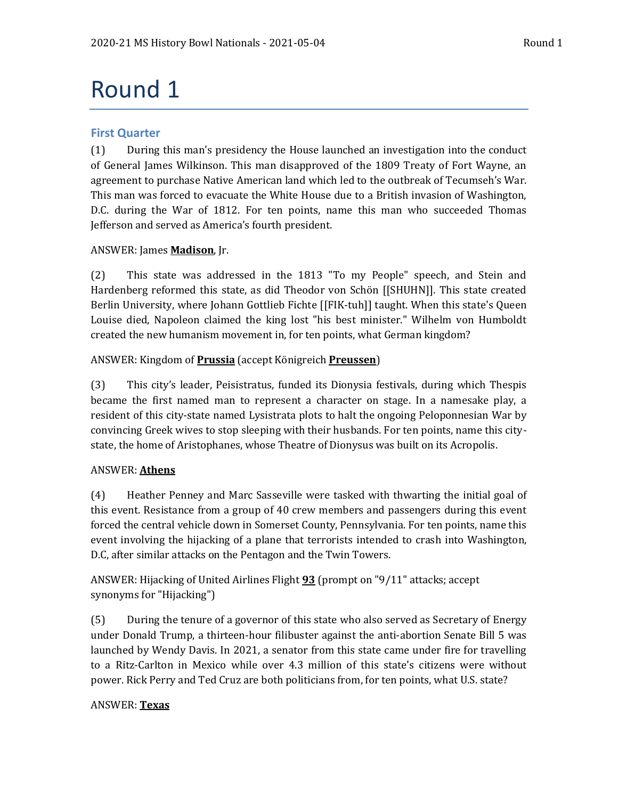# Round 1

# **First Quarter**

(1) During this man's presidency the House launched an investigation into the conduct of General James Wilkinson. This man disapproved of the 1809 Treaty of Fort Wayne, an agreement to purchase Native American land which led to the outbreak of Tecumseh's War. This man was forced to evacuate the White House due to a British invasion of Washington, D.C. during the War of 1812. For ten points, name this man who succeeded Thomas Jefferson and served as America's fourth president.

# ANSWER: James **Madison**, Jr.

(2) This state was addressed in the 1813 "To my People" speech, and Stein and Hardenberg reformed this state, as did Theodor von Schön [[SHUHN]]. This state created Berlin University, where Johann Gottlieb Fichte [[FIK-tuh]] taught. When this state's Queen Louise died, Napoleon claimed the king lost "his best minister." Wilhelm von Humboldt created the new humanism movement in, for ten points, what German kingdom?

# ANSWER: Kingdom of **Prussia** (accept Königreich **Preussen**)

(3) This city's leader, Peisistratus, funded its Dionysia festivals, during which Thespis became the first named man to represent a character on stage. In a namesake play, a resident of this city-state named Lysistrata plots to halt the ongoing Peloponnesian War by convincing Greek wives to stop sleeping with their husbands. For ten points, name this citystate, the home of Aristophanes, whose Theatre of Dionysus was built on its Acropolis.

# ANSWER: **Athens**

(4) Heather Penney and Marc Sasseville were tasked with thwarting the initial goal of this event. Resistance from a group of 40 crew members and passengers during this event forced the central vehicle down in Somerset County, Pennsylvania. For ten points, name this event involving the hijacking of a plane that terrorists intended to crash into Washington, D.C, after similar attacks on the Pentagon and the Twin Towers.

ANSWER: Hijacking of United Airlines Flight **93** (prompt on "9/11" attacks; accept synonyms for "Hijacking")

(5) During the tenure of a governor of this state who also served as Secretary of Energy under Donald Trump, a thirteen-hour filibuster against the anti-abortion Senate Bill 5 was launched by Wendy Davis. In 2021, a senator from this state came under fire for travelling to a Ritz-Carlton in Mexico while over 4.3 million of this state's citizens were without power. Rick Perry and Ted Cruz are both politicians from, for ten points, what U.S. state?

# ANSWER: **Texas**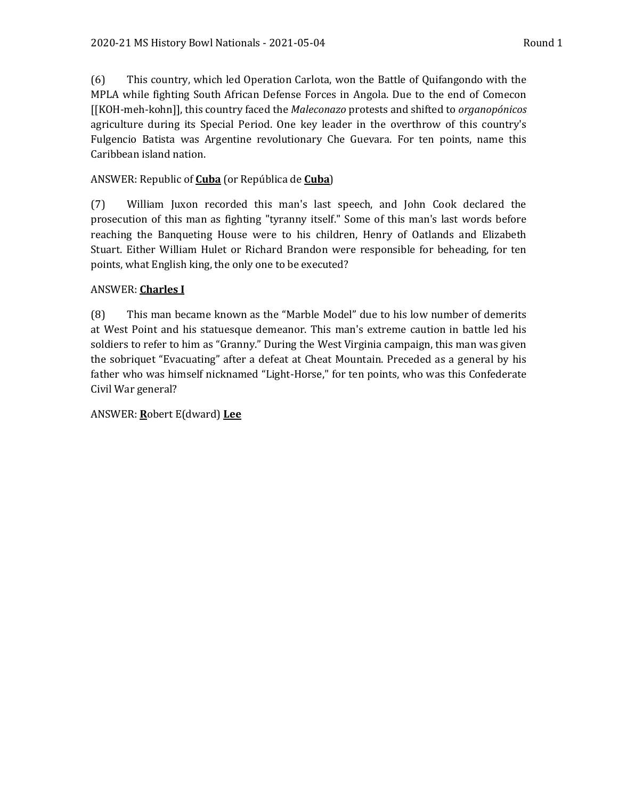(6) This country, which led Operation Carlota, won the Battle of Quifangondo with the MPLA while fighting South African Defense Forces in Angola. Due to the end of Comecon [[KOH-meh-kohn]], this country faced the *Maleconazo* protests and shifted to *organopónicos* agriculture during its Special Period. One key leader in the overthrow of this country's Fulgencio Batista was Argentine revolutionary Che Guevara. For ten points, name this Caribbean island nation.

#### ANSWER: Republic of **Cuba** (or República de **Cuba**)

(7) William Juxon recorded this man's last speech, and John Cook declared the prosecution of this man as fighting "tyranny itself." Some of this man's last words before reaching the Banqueting House were to his children, Henry of Oatlands and Elizabeth Stuart. Either William Hulet or Richard Brandon were responsible for beheading, for ten points, what English king, the only one to be executed?

#### ANSWER: **Charles I**

(8) This man became known as the "Marble Model" due to his low number of demerits at West Point and his statuesque demeanor. This man's extreme caution in battle led his soldiers to refer to him as "Granny." During the West Virginia campaign, this man was given the sobriquet "Evacuating" after a defeat at Cheat Mountain. Preceded as a general by his father who was himself nicknamed "Light-Horse," for ten points, who was this Confederate Civil War general?

#### ANSWER: **R**obert E(dward) **Lee**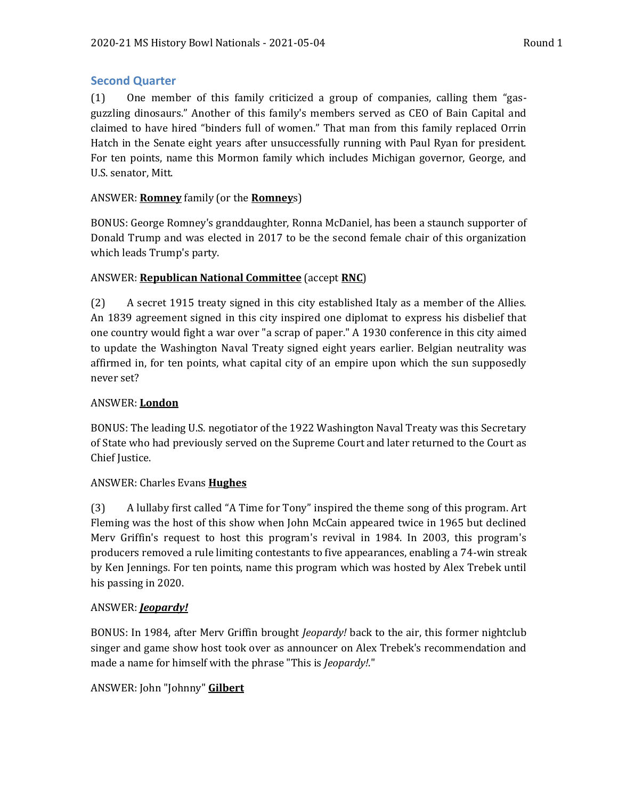# **Second Quarter**

(1) One member of this family criticized a group of companies, calling them "gasguzzling dinosaurs." Another of this family's members served as CEO of Bain Capital and claimed to have hired "binders full of women." That man from this family replaced Orrin Hatch in the Senate eight years after unsuccessfully running with Paul Ryan for president. For ten points, name this Mormon family which includes Michigan governor, George, and U.S. senator, Mitt.

# ANSWER: **Romney** family (or the **Romney**s)

BONUS: George Romney's granddaughter, Ronna McDaniel, has been a staunch supporter of Donald Trump and was elected in 2017 to be the second female chair of this organization which leads Trump's party.

# ANSWER: **Republican National Committee** (accept **RNC**)

(2) A secret 1915 treaty signed in this city established Italy as a member of the Allies. An 1839 agreement signed in this city inspired one diplomat to express his disbelief that one country would fight a war over "a scrap of paper." A 1930 conference in this city aimed to update the Washington Naval Treaty signed eight years earlier. Belgian neutrality was affirmed in, for ten points, what capital city of an empire upon which the sun supposedly never set?

# ANSWER: **London**

BONUS: The leading U.S. negotiator of the 1922 Washington Naval Treaty was this Secretary of State who had previously served on the Supreme Court and later returned to the Court as Chief Justice.

# ANSWER: Charles Evans **Hughes**

(3) A lullaby first called "A Time for Tony" inspired the theme song of this program. Art Fleming was the host of this show when John McCain appeared twice in 1965 but declined Merv Griffin's request to host this program's revival in 1984. In 2003, this program's producers removed a rule limiting contestants to five appearances, enabling a 74-win streak by Ken Jennings. For ten points, name this program which was hosted by Alex Trebek until his passing in 2020.

# ANSWER: *Jeopardy!*

BONUS: In 1984, after Merv Griffin brought *Jeopardy!* back to the air, this former nightclub singer and game show host took over as announcer on Alex Trebek's recommendation and made a name for himself with the phrase "This is *Jeopardy!*."

# ANSWER: John "Johnny" **Gilbert**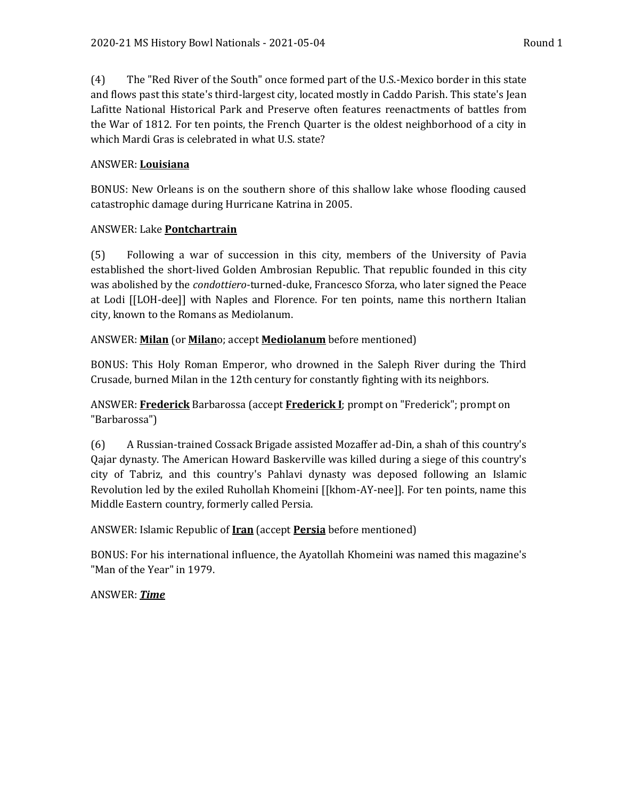(4) The "Red River of the South" once formed part of the U.S.-Mexico border in this state and flows past this state's third-largest city, located mostly in Caddo Parish. This state's Jean Lafitte National Historical Park and Preserve often features reenactments of battles from the War of 1812. For ten points, the French Quarter is the oldest neighborhood of a city in which Mardi Gras is celebrated in what U.S. state?

# ANSWER: **Louisiana**

BONUS: New Orleans is on the southern shore of this shallow lake whose flooding caused catastrophic damage during Hurricane Katrina in 2005.

# ANSWER: Lake **Pontchartrain**

(5) Following a war of succession in this city, members of the University of Pavia established the short-lived Golden Ambrosian Republic. That republic founded in this city was abolished by the *condottiero*-turned-duke, Francesco Sforza, who later signed the Peace at Lodi [[LOH-dee]] with Naples and Florence. For ten points, name this northern Italian city, known to the Romans as Mediolanum.

# ANSWER: **Milan** (or **Milan**o; accept **Mediolanum** before mentioned)

BONUS: This Holy Roman Emperor, who drowned in the Saleph River during the Third Crusade, burned Milan in the 12th century for constantly fighting with its neighbors.

ANSWER: **Frederick** Barbarossa (accept **Frederick I**; prompt on "Frederick"; prompt on "Barbarossa")

(6) A Russian-trained Cossack Brigade assisted Mozaffer ad-Din, a shah of this country's Qajar dynasty. The American Howard Baskerville was killed during a siege of this country's city of Tabriz, and this country's Pahlavi dynasty was deposed following an Islamic Revolution led by the exiled Ruhollah Khomeini [[khom-AY-nee]]. For ten points, name this Middle Eastern country, formerly called Persia.

# ANSWER: Islamic Republic of **Iran** (accept **Persia** before mentioned)

BONUS: For his international influence, the Ayatollah Khomeini was named this magazine's "Man of the Year" in 1979.

ANSWER: *Time*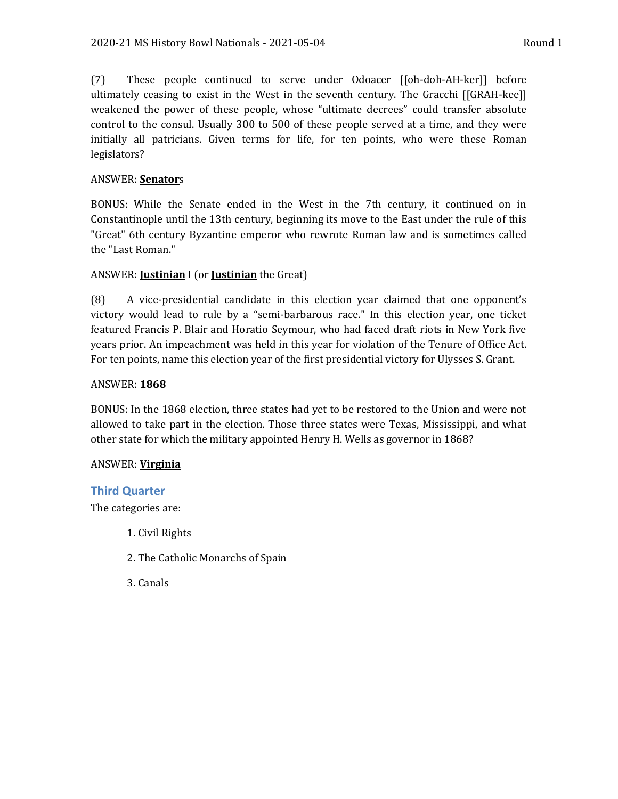(7) These people continued to serve under Odoacer [[oh-doh-AH-ker]] before ultimately ceasing to exist in the West in the seventh century. The Gracchi [[GRAH-kee]] weakened the power of these people, whose "ultimate decrees" could transfer absolute control to the consul. Usually 300 to 500 of these people served at a time, and they were initially all patricians. Given terms for life, for ten points, who were these Roman legislators?

#### ANSWER: **Senator**s

BONUS: While the Senate ended in the West in the 7th century, it continued on in Constantinople until the 13th century, beginning its move to the East under the rule of this "Great" 6th century Byzantine emperor who rewrote Roman law and is sometimes called the "Last Roman."

#### ANSWER: **Justinian** I (or **Justinian** the Great)

(8) A vice-presidential candidate in this election year claimed that one opponent's victory would lead to rule by a "semi-barbarous race." In this election year, one ticket featured Francis P. Blair and Horatio Seymour, who had faced draft riots in New York five years prior. An impeachment was held in this year for violation of the Tenure of Office Act. For ten points, name this election year of the first presidential victory for Ulysses S. Grant.

#### ANSWER: **1868**

BONUS: In the 1868 election, three states had yet to be restored to the Union and were not allowed to take part in the election. Those three states were Texas, Mississippi, and what other state for which the military appointed Henry H. Wells as governor in 1868?

#### ANSWER: **Virginia**

#### **Third Quarter**

The categories are:

- 1. Civil Rights
- 2. The Catholic Monarchs of Spain
- 3. Canals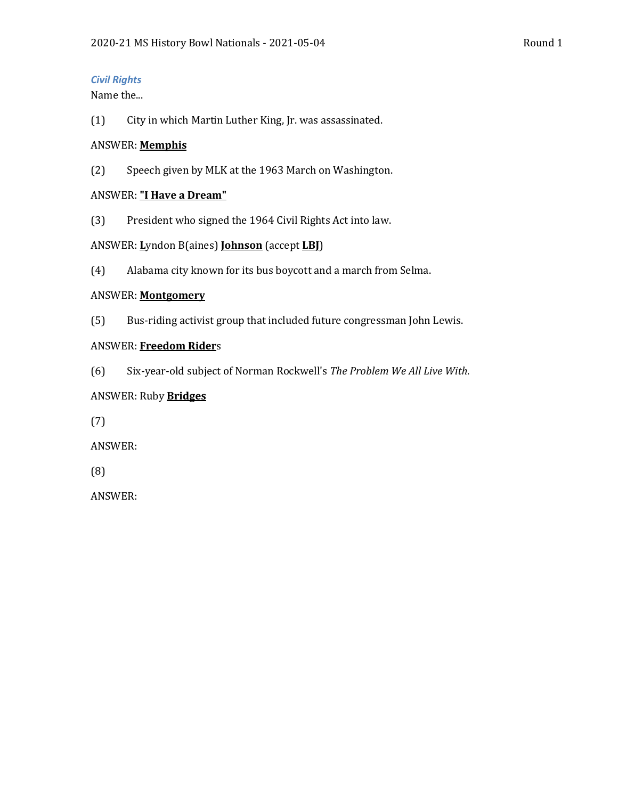#### *Civil Rights*

Name the...

(1) City in which Martin Luther King, Jr. was assassinated.

#### ANSWER: **Memphis**

(2) Speech given by MLK at the 1963 March on Washington.

#### ANSWER: **"I Have a Dream"**

(3) President who signed the 1964 Civil Rights Act into law.

#### ANSWER: **L**yndon B(aines) **Johnson** (accept **LBJ**)

(4) Alabama city known for its bus boycott and a march from Selma.

#### ANSWER: **Montgomery**

(5) Bus-riding activist group that included future congressman John Lewis.

#### ANSWER: **Freedom Rider**s

(6) Six-year-old subject of Norman Rockwell's *The Problem We All Live With*.

# ANSWER: Ruby **Bridges**

(7)

ANSWER:

(8)

ANSWER: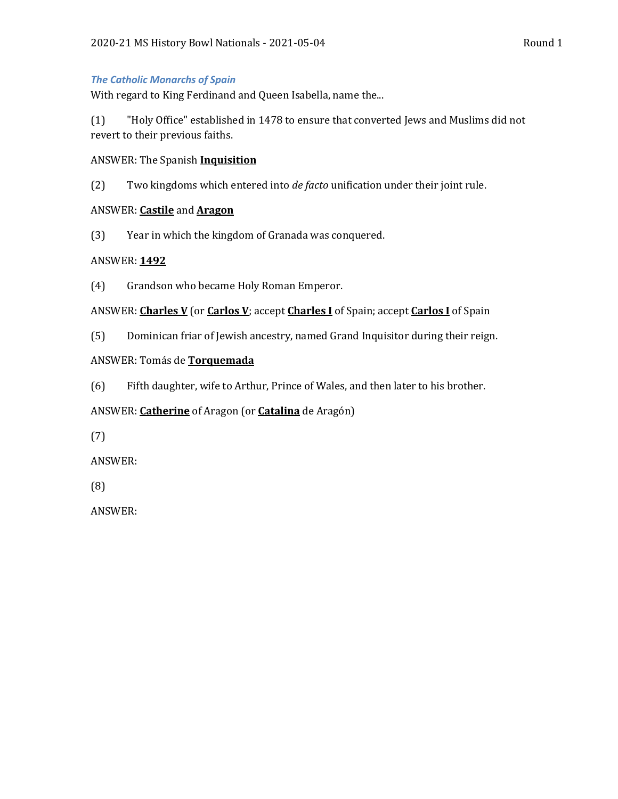#### *The Catholic Monarchs of Spain*

With regard to King Ferdinand and Queen Isabella, name the...

(1) "Holy Office" established in 1478 to ensure that converted Jews and Muslims did not revert to their previous faiths.

#### ANSWER: The Spanish **Inquisition**

(2) Two kingdoms which entered into *de facto* unification under their joint rule.

#### ANSWER: **Castile** and **Aragon**

(3) Year in which the kingdom of Granada was conquered.

# ANSWER: **1492**

(4) Grandson who became Holy Roman Emperor.

# ANSWER: **Charles V** (or **Carlos V**; accept **Charles I** of Spain; accept **Carlos I** of Spain

(5) Dominican friar of Jewish ancestry, named Grand Inquisitor during their reign.

# ANSWER: Tomás de **Torquemada**

(6) Fifth daughter, wife to Arthur, Prince of Wales, and then later to his brother.

# ANSWER: **Catherine** of Aragon (or **Catalina** de Aragón)

(7)

ANSWER:

(8)

ANSWER: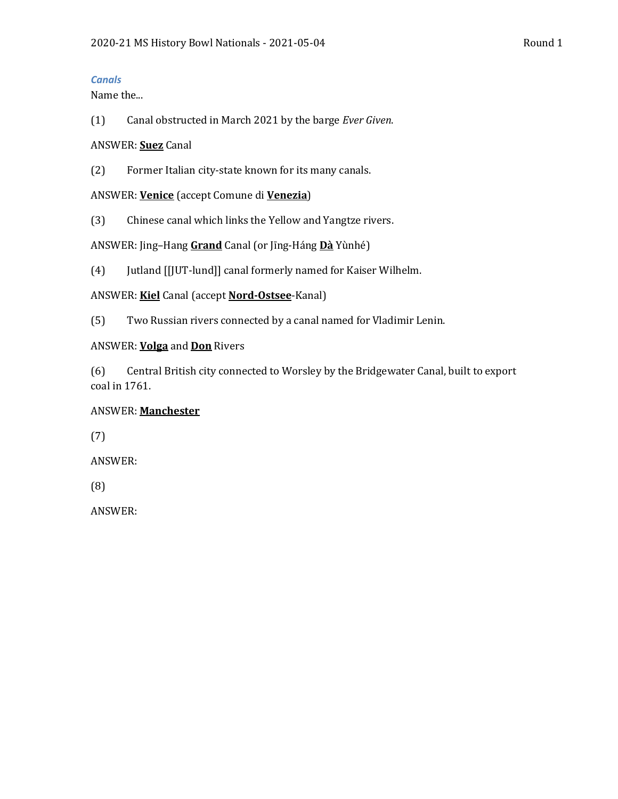#### *Canals*

Name the...

(1) Canal obstructed in March 2021 by the barge *Ever Given*.

#### ANSWER: **Suez** Canal

(2) Former Italian city-state known for its many canals.

ANSWER: **Venice** (accept Comune di **Venezia**)

(3) Chinese canal which links the Yellow and Yangtze rivers.

ANSWER: Jing–Hang **Grand** Canal (or Jīng-Háng **Dà** Yùnhé)

(4) Jutland [[JUT-lund]] canal formerly named for Kaiser Wilhelm.

ANSWER: **Kiel** Canal (accept **Nord-Ostsee**-Kanal)

(5) Two Russian rivers connected by a canal named for Vladimir Lenin.

#### ANSWER: **Volga** and **Don** Rivers

(6) Central British city connected to Worsley by the Bridgewater Canal, built to export coal in 1761.

# ANSWER: **Manchester**

(7)

ANSWER:

(8)

ANSWER: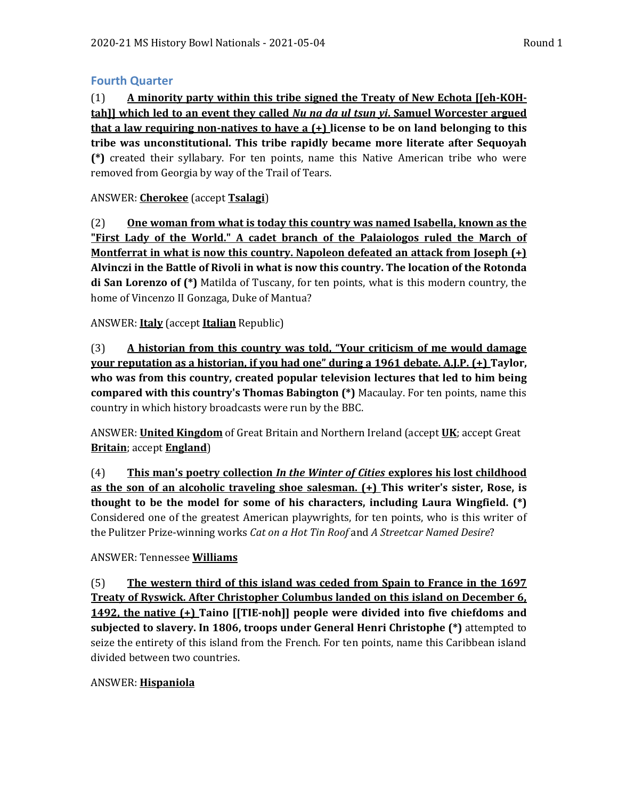# **Fourth Quarter**

(1) **A minority party within this tribe signed the Treaty of New Echota [[eh-KOHtah]] which led to an event they called** *Nu na da ul tsun yi***. Samuel Worcester argued that a law requiring non-natives to have a (+) license to be on land belonging to this tribe was unconstitutional. This tribe rapidly became more literate after Sequoyah (\*)** created their syllabary. For ten points, name this Native American tribe who were removed from Georgia by way of the Trail of Tears.

# ANSWER: **Cherokee** (accept **Tsalagi**)

(2) **One woman from what is today this country was named Isabella, known as the "First Lady of the World." A cadet branch of the Palaiologos ruled the March of Montferrat in what is now this country. Napoleon defeated an attack from Joseph (+) Alvinczi in the Battle of Rivoli in what is now this country. The location of the Rotonda di San Lorenzo of (\*)** Matilda of Tuscany, for ten points, what is this modern country, the home of Vincenzo II Gonzaga, Duke of Mantua?

# ANSWER: **Italy** (accept **Italian** Republic)

(3) **A historian from this country was told, "Your criticism of me would damage your reputation as a historian, if you had one" during a 1961 debate. A.J.P. (+) Taylor, who was from this country, created popular television lectures that led to him being compared with this country's Thomas Babington (\*)** Macaulay. For ten points, name this country in which history broadcasts were run by the BBC.

ANSWER: **United Kingdom** of Great Britain and Northern Ireland (accept **UK**; accept Great **Britain**; accept **England**)

(4) **This man's poetry collection** *In the Winter of Cities* **explores his lost childhood as the son of an alcoholic traveling shoe salesman. (+) This writer's sister, Rose, is thought to be the model for some of his characters, including Laura Wingfield. (\*)**  Considered one of the greatest American playwrights, for ten points, who is this writer of the Pulitzer Prize-winning works *Cat on a Hot Tin Roof* and *A Streetcar Named Desire*?

# ANSWER: Tennessee **Williams**

(5) **The western third of this island was ceded from Spain to France in the 1697 Treaty of Ryswick. After Christopher Columbus landed on this island on December 6, 1492, the native (+) Taino [[TIE-noh]] people were divided into five chiefdoms and subjected to slavery. In 1806, troops under General Henri Christophe (\*)** attempted to seize the entirety of this island from the French. For ten points, name this Caribbean island divided between two countries.

#### ANSWER: **Hispaniola**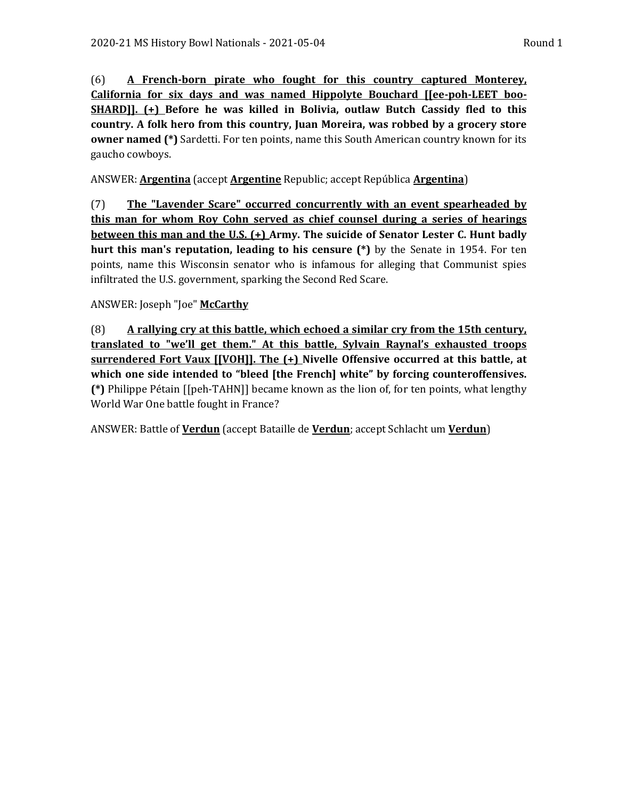(6) **A French-born pirate who fought for this country captured Monterey, California for six days and was named Hippolyte Bouchard [[ee-poh-LEET boo-SHARD]]. (+) Before he was killed in Bolivia, outlaw Butch Cassidy fled to this country. A folk hero from this country, Juan Moreira, was robbed by a grocery store owner named (\*)** Sardetti. For ten points, name this South American country known for its gaucho cowboys.

ANSWER: **Argentina** (accept **Argentine** Republic; accept República **Argentina**)

(7) **The "Lavender Scare" occurred concurrently with an event spearheaded by this man for whom Roy Cohn served as chief counsel during a series of hearings between this man and the U.S. (+) Army. The suicide of Senator Lester C. Hunt badly hurt this man's reputation, leading to his censure (\*)** by the Senate in 1954. For ten points, name this Wisconsin senator who is infamous for alleging that Communist spies infiltrated the U.S. government, sparking the Second Red Scare.

ANSWER: Joseph "Joe" **McCarthy**

(8) **A rallying cry at this battle, which echoed a similar cry from the 15th century, translated to "we'll get them." At this battle, Sylvain Raynal's exhausted troops surrendered Fort Vaux [[VOH]]. The (+) Nivelle Offensive occurred at this battle, at which one side intended to "bleed [the French] white" by forcing counteroffensives. (\*)** Philippe Pétain [[peh-TAHN]] became known as the lion of, for ten points, what lengthy World War One battle fought in France?

ANSWER: Battle of **Verdun** (accept Bataille de **Verdun**; accept Schlacht um **Verdun**)